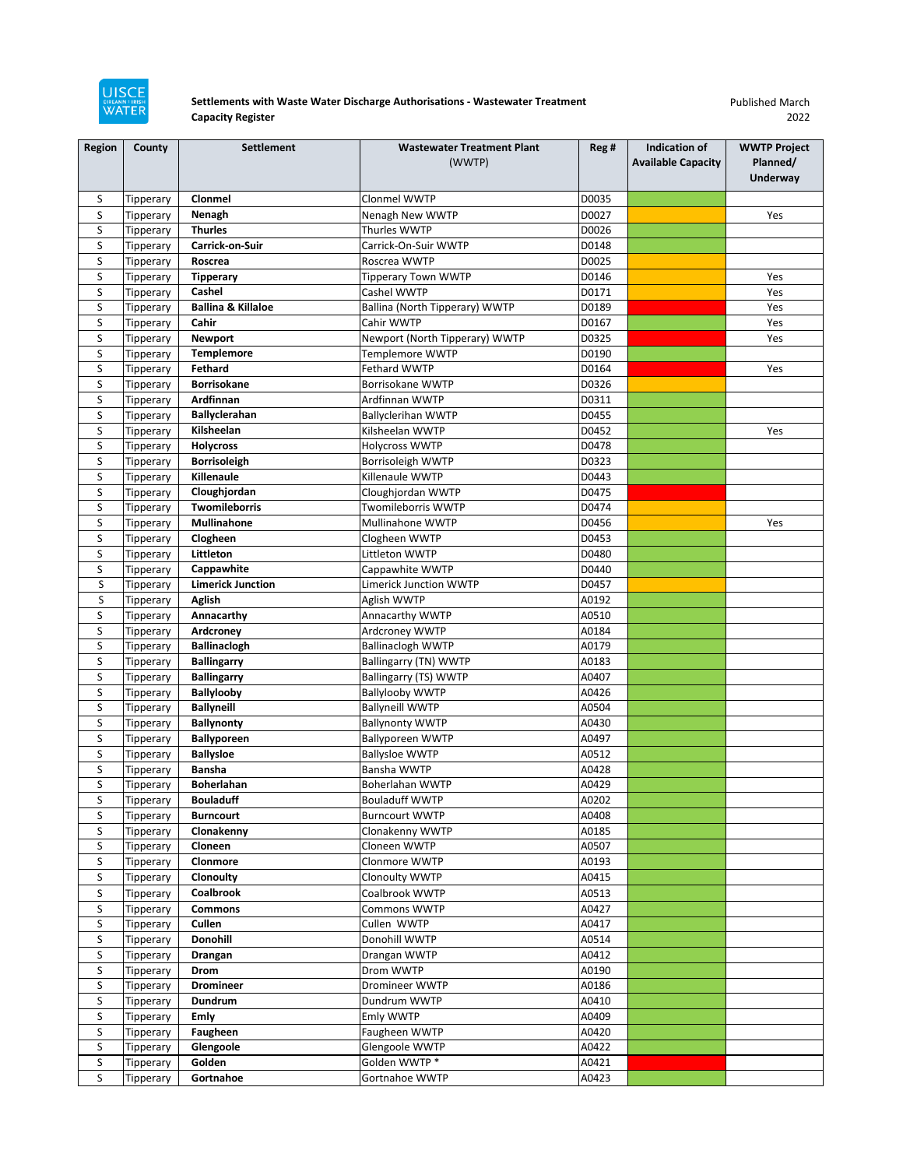

## **Settlements with Waste Water Discharge Authorisations - Wastewater Treatment Capacity Register**

Published March 2022

| Region | County                 | <b>Settlement</b>             | <b>Wastewater Treatment Plant</b>         | Reg # | Indication of             | <b>WWTP Project</b> |
|--------|------------------------|-------------------------------|-------------------------------------------|-------|---------------------------|---------------------|
|        |                        |                               | (WWTP)                                    |       | <b>Available Capacity</b> | Planned/            |
|        |                        |                               |                                           |       |                           | Underway            |
| S      | Tipperary              | Clonmel                       | Clonmel WWTP                              | D0035 |                           |                     |
| S      |                        | Nenagh                        | Nenagh New WWTP                           | D0027 |                           | Yes                 |
| S      | Tipperary<br>Tipperary | <b>Thurles</b>                | Thurles WWTP                              | D0026 |                           |                     |
| S      |                        | Carrick-on-Suir               | Carrick-On-Suir WWTP                      | D0148 |                           |                     |
| S      | Tipperary              | Roscrea                       | Roscrea WWTP                              | D0025 |                           |                     |
| S      | Tipperary              |                               |                                           | D0146 |                           |                     |
| S      | Tipperary              | <b>Tipperary</b><br>Cashel    | <b>Tipperary Town WWTP</b><br>Cashel WWTP | D0171 |                           | Yes<br>Yes          |
| S      | Tipperary<br>Tipperary | <b>Ballina &amp; Killaloe</b> | Ballina (North Tipperary) WWTP            | D0189 |                           | Yes                 |
| S      |                        | Cahir                         | Cahir WWTP                                | D0167 |                           | Yes                 |
| S      | Tipperary<br>Tipperary | <b>Newport</b>                | Newport (North Tipperary) WWTP            | D0325 |                           | Yes                 |
| S      | Tipperary              | <b>Templemore</b>             | Templemore WWTP                           | D0190 |                           |                     |
| S      | Tipperary              | Fethard                       | <b>Fethard WWTP</b>                       | D0164 |                           | Yes                 |
| S      |                        | <b>Borrisokane</b>            | Borrisokane WWTP                          | D0326 |                           |                     |
| S      | Tipperary<br>Tipperary | Ardfinnan                     | Ardfinnan WWTP                            | D0311 |                           |                     |
| S      |                        | Ballyclerahan                 | <b>Ballyclerihan WWTP</b>                 | D0455 |                           |                     |
| S      | Tipperary              | Kilsheelan                    | Kilsheelan WWTP                           | D0452 |                           | Yes                 |
| S      | Tipperary<br>Tipperary | <b>Holycross</b>              | <b>Holycross WWTP</b>                     | D0478 |                           |                     |
| S      | Tipperary              | <b>Borrisoleigh</b>           | Borrisoleigh WWTP                         | D0323 |                           |                     |
| S      | Tipperary              | Killenaule                    | Killenaule WWTP                           | D0443 |                           |                     |
| S      | Tipperary              | Cloughjordan                  | Cloughjordan WWTP                         | D0475 |                           |                     |
| S      |                        | <b>Twomileborris</b>          | Twomileborris WWTP                        | D0474 |                           |                     |
| S      | Tipperary<br>Tipperary | Mullinahone                   | Mullinahone WWTP                          | D0456 |                           | Yes                 |
| S      |                        | Clogheen                      |                                           | D0453 |                           |                     |
| S      | Tipperary              | Littleton                     | Clogheen WWTP<br>Littleton WWTP           | D0480 |                           |                     |
| S      | Tipperary<br>Tipperary | Cappawhite                    | Cappawhite WWTP                           | D0440 |                           |                     |
| S      | Tipperary              | <b>Limerick Junction</b>      | Limerick Junction WWTP                    | D0457 |                           |                     |
| S      |                        | <b>Aglish</b>                 | Aglish WWTP                               | A0192 |                           |                     |
| S      | Tipperary<br>Tipperary | Annacarthy                    | Annacarthy WWTP                           | A0510 |                           |                     |
| S      | Tipperary              | Ardcroney                     | Ardcroney WWTP                            | A0184 |                           |                     |
| S      | Tipperary              | <b>Ballinaclogh</b>           | <b>Ballinaclogh WWTP</b>                  | A0179 |                           |                     |
| S      | Tipperary              | <b>Ballingarry</b>            | Ballingarry (TN) WWTP                     | A0183 |                           |                     |
| S      | Tipperary              | <b>Ballingarry</b>            | Ballingarry (TS) WWTP                     | A0407 |                           |                     |
| S      | Tipperary              | <b>Ballylooby</b>             | <b>Ballylooby WWTP</b>                    | A0426 |                           |                     |
| S      | Tipperary              | <b>Ballyneill</b>             | <b>Ballyneill WWTP</b>                    | A0504 |                           |                     |
| S      | Tipperary              | <b>Ballynonty</b>             | <b>Ballynonty WWTP</b>                    | A0430 |                           |                     |
| S      | Tipperary              | <b>Ballyporeen</b>            | <b>Ballyporeen WWTP</b>                   | A0497 |                           |                     |
| S      | Tipperary              | <b>Ballysloe</b>              | <b>Ballysloe WWTP</b>                     | A0512 |                           |                     |
| S      | Tipperary              | <b>Bansha</b>                 | Bansha WWTP                               | A0428 |                           |                     |
| S      | Tipperary              | <b>Boherlahan</b>             | Boherlahan WWTP                           | A0429 |                           |                     |
| S      | Tipperary              | <b>Bouladuff</b>              | <b>Bouladuff WWTP</b>                     | A0202 |                           |                     |
| S      | Tipperary              | <b>Burncourt</b>              | <b>Burncourt WWTP</b>                     | A0408 |                           |                     |
| S      | Tipperary              | Clonakenny                    | Clonakenny WWTP                           | A0185 |                           |                     |
| S      | Tipperary              | Cloneen                       | Cloneen WWTP                              | A0507 |                           |                     |
| S      | Tipperary              | Clonmore                      | Clonmore WWTP                             | A0193 |                           |                     |
| S      | Tipperary              | Clonoulty                     | Clonoulty WWTP                            | A0415 |                           |                     |
| S      | Tipperary              | Coalbrook                     | Coalbrook WWTP                            | A0513 |                           |                     |
| S      | Tipperary              | <b>Commons</b>                | Commons WWTP                              | A0427 |                           |                     |
| S      | Tipperary              | Cullen                        | Cullen WWTP                               | A0417 |                           |                     |
| S      | Tipperary              | <b>Donohill</b>               | Donohill WWTP                             | A0514 |                           |                     |
| S      | Tipperary              | Drangan                       | Drangan WWTP                              | A0412 |                           |                     |
| S      | Tipperary              | Drom                          | Drom WWTP                                 | A0190 |                           |                     |
| S      | Tipperary              | Dromineer                     | Dromineer WWTP                            | A0186 |                           |                     |
| S      | Tipperary              | Dundrum                       | Dundrum WWTP                              | A0410 |                           |                     |
| S      | Tipperary              | <b>Emly</b>                   | Emly WWTP                                 | A0409 |                           |                     |
| S      | Tipperary              | Faugheen                      | Faugheen WWTP                             | A0420 |                           |                     |
| S      | Tipperary              | Glengoole                     | Glengoole WWTP                            | A0422 |                           |                     |
| S      | Tipperary              | Golden                        | Golden WWTP*                              | A0421 |                           |                     |
| S      | Tipperary              | Gortnahoe                     | Gortnahoe WWTP                            | A0423 |                           |                     |